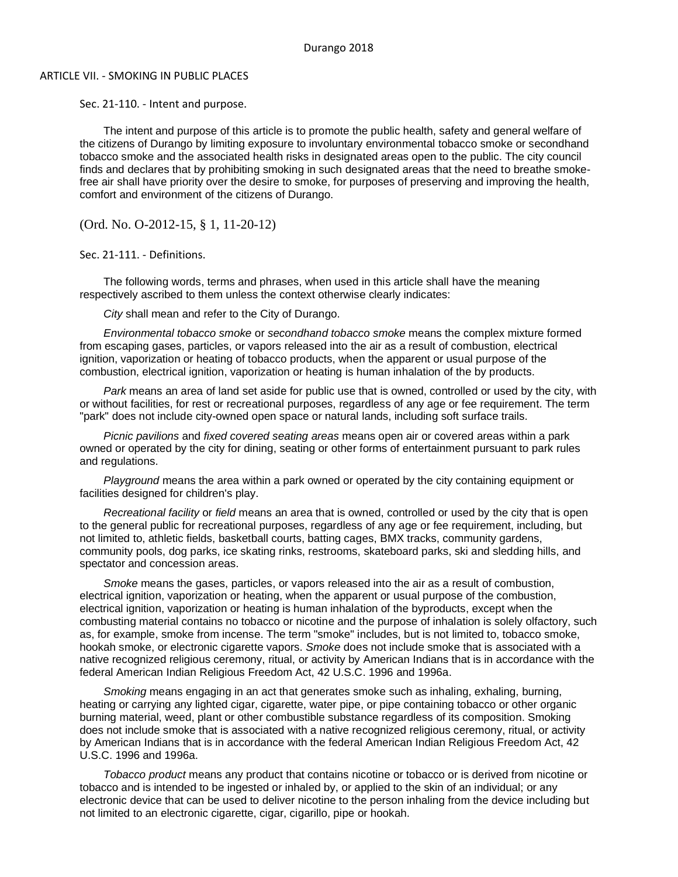## ARTICLE VII. - SMOKING IN PUBLIC PLACES

Sec. 21-110. - Intent and purpose.

The intent and purpose of this article is to promote the public health, safety and general welfare of the citizens of Durango by limiting exposure to involuntary environmental tobacco smoke or secondhand tobacco smoke and the associated health risks in designated areas open to the public. The city council finds and declares that by prohibiting smoking in such designated areas that the need to breathe smokefree air shall have priority over the desire to smoke, for purposes of preserving and improving the health, comfort and environment of the citizens of Durango.

(Ord. No. O-2012-15, § 1, 11-20-12)

Sec. 21-111. - Definitions.

The following words, terms and phrases, when used in this article shall have the meaning respectively ascribed to them unless the context otherwise clearly indicates:

*City* shall mean and refer to the City of Durango.

*Environmental tobacco smoke* or *secondhand tobacco smoke* means the complex mixture formed from escaping gases, particles, or vapors released into the air as a result of combustion, electrical ignition, vaporization or heating of tobacco products, when the apparent or usual purpose of the combustion, electrical ignition, vaporization or heating is human inhalation of the by products.

*Park* means an area of land set aside for public use that is owned, controlled or used by the city, with or without facilities, for rest or recreational purposes, regardless of any age or fee requirement. The term "park" does not include city-owned open space or natural lands, including soft surface trails.

*Picnic pavilions* and *fixed covered seating areas* means open air or covered areas within a park owned or operated by the city for dining, seating or other forms of entertainment pursuant to park rules and regulations.

*Playground* means the area within a park owned or operated by the city containing equipment or facilities designed for children's play.

*Recreational facility* or *field* means an area that is owned, controlled or used by the city that is open to the general public for recreational purposes, regardless of any age or fee requirement, including, but not limited to, athletic fields, basketball courts, batting cages, BMX tracks, community gardens, community pools, dog parks, ice skating rinks, restrooms, skateboard parks, ski and sledding hills, and spectator and concession areas.

*Smoke* means the gases, particles, or vapors released into the air as a result of combustion, electrical ignition, vaporization or heating, when the apparent or usual purpose of the combustion, electrical ignition, vaporization or heating is human inhalation of the byproducts, except when the combusting material contains no tobacco or nicotine and the purpose of inhalation is solely olfactory, such as, for example, smoke from incense. The term "smoke" includes, but is not limited to, tobacco smoke, hookah smoke, or electronic cigarette vapors. *Smoke* does not include smoke that is associated with a native recognized religious ceremony, ritual, or activity by American Indians that is in accordance with the federal American Indian Religious Freedom Act, 42 U.S.C. 1996 and 1996a.

*Smoking* means engaging in an act that generates smoke such as inhaling, exhaling, burning, heating or carrying any lighted cigar, cigarette, water pipe, or pipe containing tobacco or other organic burning material, weed, plant or other combustible substance regardless of its composition. Smoking does not include smoke that is associated with a native recognized religious ceremony, ritual, or activity by American Indians that is in accordance with the federal American Indian Religious Freedom Act, 42 U.S.C. 1996 and 1996a.

*Tobacco product* means any product that contains nicotine or tobacco or is derived from nicotine or tobacco and is intended to be ingested or inhaled by, or applied to the skin of an individual; or any electronic device that can be used to deliver nicotine to the person inhaling from the device including but not limited to an electronic cigarette, cigar, cigarillo, pipe or hookah.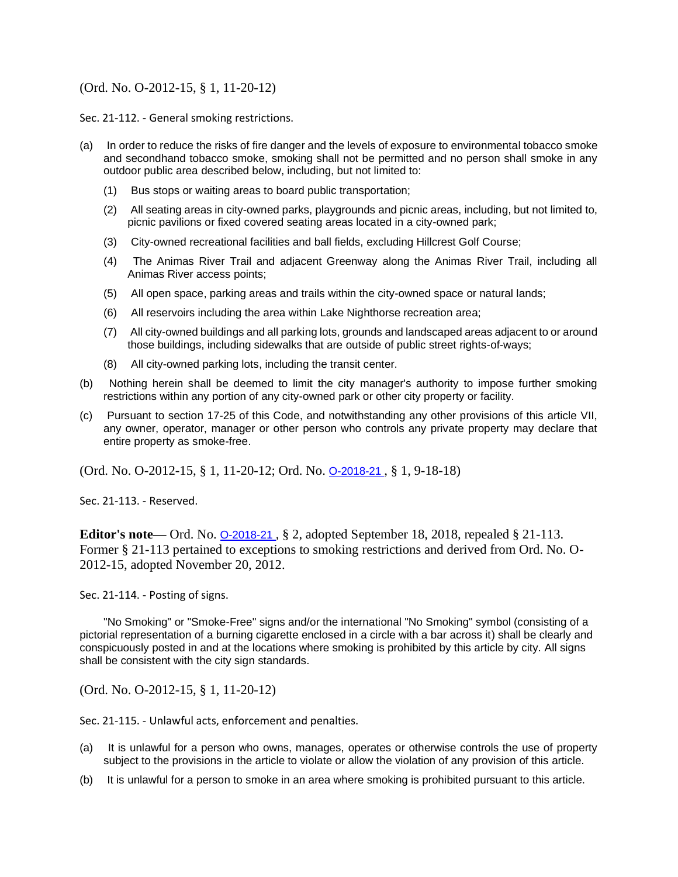## (Ord. No. O-2012-15, § 1, 11-20-12)

Sec. 21-112. - General smoking restrictions.

- (a) In order to reduce the risks of fire danger and the levels of exposure to environmental tobacco smoke and secondhand tobacco smoke, smoking shall not be permitted and no person shall smoke in any outdoor public area described below, including, but not limited to:
	- (1) Bus stops or waiting areas to board public transportation;
	- (2) All seating areas in city-owned parks, playgrounds and picnic areas, including, but not limited to, picnic pavilions or fixed covered seating areas located in a city-owned park;
	- (3) City-owned recreational facilities and ball fields, excluding Hillcrest Golf Course;
	- (4) The Animas River Trail and adjacent Greenway along the Animas River Trail, including all Animas River access points;
	- (5) All open space, parking areas and trails within the city-owned space or natural lands;
	- (6) All reservoirs including the area within Lake Nighthorse recreation area;
	- (7) All city-owned buildings and all parking lots, grounds and landscaped areas adjacent to or around those buildings, including sidewalks that are outside of public street rights-of-ways;
	- (8) All city-owned parking lots, including the transit center.
- (b) Nothing herein shall be deemed to limit the city manager's authority to impose further smoking restrictions within any portion of any city-owned park or other city property or facility.
- (c) Pursuant to section 17-25 of this Code, and notwithstanding any other provisions of this article VII, any owner, operator, manager or other person who controls any private property may declare that entire property as smoke-free.

(Ord. No. O-2012-15, § 1, 11-20-12; Ord. No. [O-2018-21](http://newords.municode.com/readordinance.aspx?ordinanceid=954132&datasource=ordbank) , § 1, 9-18-18)

Sec. 21-113. - Reserved.

**Editor's note—** Ord. No. <u>O-2018-21</u>, § 2, adopted September 18, 2018, repealed § 21-113. Former § 21-113 pertained to exceptions to smoking restrictions and derived from Ord. No. O-2012-15, adopted November 20, 2012.

Sec. 21-114. - Posting of signs.

"No Smoking" or "Smoke-Free" signs and/or the international "No Smoking" symbol (consisting of a pictorial representation of a burning cigarette enclosed in a circle with a bar across it) shall be clearly and conspicuously posted in and at the locations where smoking is prohibited by this article by city. All signs shall be consistent with the city sign standards.

(Ord. No. O-2012-15, § 1, 11-20-12)

Sec. 21-115. - Unlawful acts, enforcement and penalties.

- (a) It is unlawful for a person who owns, manages, operates or otherwise controls the use of property subject to the provisions in the article to violate or allow the violation of any provision of this article.
- (b) It is unlawful for a person to smoke in an area where smoking is prohibited pursuant to this article.